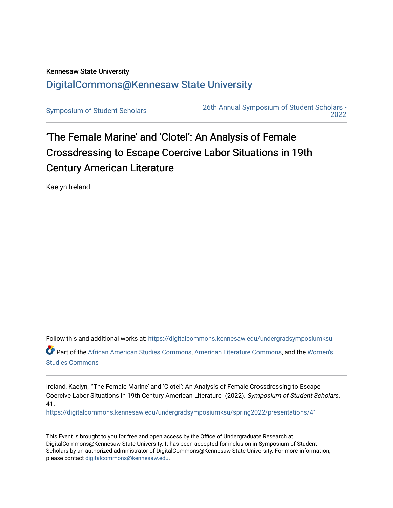## Kennesaw State University [DigitalCommons@Kennesaw State University](https://digitalcommons.kennesaw.edu/)

[Symposium of Student Scholars](https://digitalcommons.kennesaw.edu/undergradsymposiumksu) [26th Annual Symposium of Student Scholars -](https://digitalcommons.kennesaw.edu/undergradsymposiumksu/spring2022)  [2022](https://digitalcommons.kennesaw.edu/undergradsymposiumksu/spring2022) 

## 'The Female Marine' and 'Clotel': An Analysis of Female Crossdressing to Escape Coercive Labor Situations in 19th Century American Literature

Kaelyn Ireland

Follow this and additional works at: [https://digitalcommons.kennesaw.edu/undergradsymposiumksu](https://digitalcommons.kennesaw.edu/undergradsymposiumksu?utm_source=digitalcommons.kennesaw.edu%2Fundergradsymposiumksu%2Fspring2022%2Fpresentations%2F41&utm_medium=PDF&utm_campaign=PDFCoverPages) 

Part of the [African American Studies Commons,](http://network.bepress.com/hgg/discipline/567?utm_source=digitalcommons.kennesaw.edu%2Fundergradsymposiumksu%2Fspring2022%2Fpresentations%2F41&utm_medium=PDF&utm_campaign=PDFCoverPages) [American Literature Commons](http://network.bepress.com/hgg/discipline/441?utm_source=digitalcommons.kennesaw.edu%2Fundergradsymposiumksu%2Fspring2022%2Fpresentations%2F41&utm_medium=PDF&utm_campaign=PDFCoverPages), and the [Women's](http://network.bepress.com/hgg/discipline/561?utm_source=digitalcommons.kennesaw.edu%2Fundergradsymposiumksu%2Fspring2022%2Fpresentations%2F41&utm_medium=PDF&utm_campaign=PDFCoverPages) [Studies Commons](http://network.bepress.com/hgg/discipline/561?utm_source=digitalcommons.kennesaw.edu%2Fundergradsymposiumksu%2Fspring2022%2Fpresentations%2F41&utm_medium=PDF&utm_campaign=PDFCoverPages) 

Ireland, Kaelyn, "'The Female Marine' and 'Clotel': An Analysis of Female Crossdressing to Escape Coercive Labor Situations in 19th Century American Literature" (2022). Symposium of Student Scholars. 41.

[https://digitalcommons.kennesaw.edu/undergradsymposiumksu/spring2022/presentations/41](https://digitalcommons.kennesaw.edu/undergradsymposiumksu/spring2022/presentations/41?utm_source=digitalcommons.kennesaw.edu%2Fundergradsymposiumksu%2Fspring2022%2Fpresentations%2F41&utm_medium=PDF&utm_campaign=PDFCoverPages) 

This Event is brought to you for free and open access by the Office of Undergraduate Research at DigitalCommons@Kennesaw State University. It has been accepted for inclusion in Symposium of Student Scholars by an authorized administrator of DigitalCommons@Kennesaw State University. For more information, please contact [digitalcommons@kennesaw.edu.](mailto:digitalcommons@kennesaw.edu)